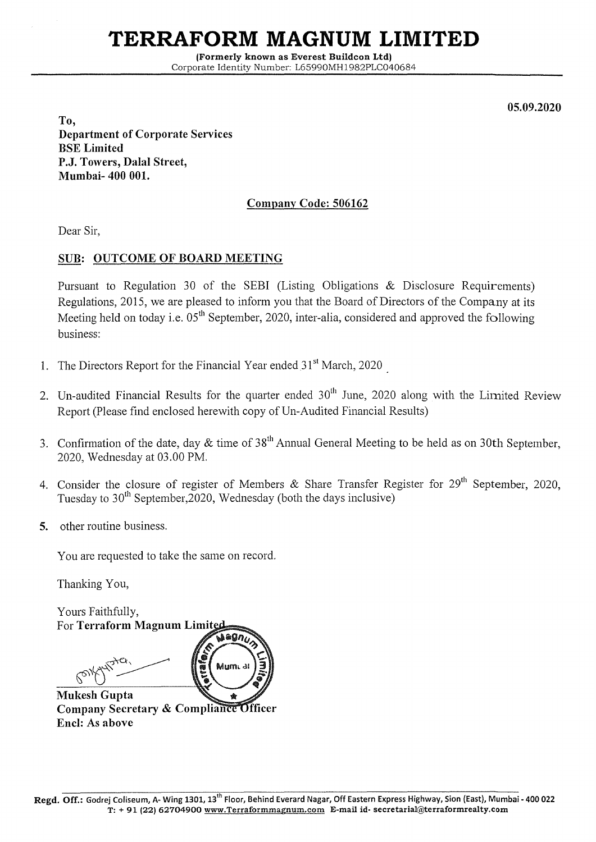## **TERRAFORM MAGNUM LIMITED**

(Formerly known as Everest Buildcon Ltd) Corporate Identity Number: L65990MH1982PLC040684

05.09.2020

To, Department of Corporate Services BSE Limited P.J. Towers, Dalal Street, Mumbai- 400 001.

## Company Code: 506162

Dear Sir,

## SUB: OUTCOME OF BOARD MEETING

Pursuant to Regulation 30 of the SEBI (Listing Obligations & Disclosure Requirements) Regulations, 2015, we are pleased to inform you that the Board of Directors of the Company at its Meeting held on today i.e.  $05<sup>th</sup>$  September, 2020, inter-alia, considered and approved the following business:

- 1. The Directors Report for the Financial Year ended  $31<sup>st</sup>$  March, 2020
- 2. Un-audited Financial Results for the quarter ended  $30<sup>th</sup>$  June, 2020 along with the Limited Review Report (Please find enclosed herewith copy of Un-Audited Financial Results)
- 3. Confirmation of the date, day  $&$  time of 38<sup>th</sup> Annual General Meeting to be held as on 30th September, 2020, Wednesday at 03.00 PM.
- 4. Consider the closure of register of Members & Share Transfer Register for  $29<sup>th</sup>$  September, 2020, Tuesday to  $30<sup>th</sup>$  September, 2020, Wednesday (both the days inclusive)
- 5. other routine business.

You are requested to take the same on record.

Thanking You,

Yours Faithfully, For Terraform Magnum Limited

Mum

Mukesh Gupta Company Secretary & Compliance Officer Encl: As above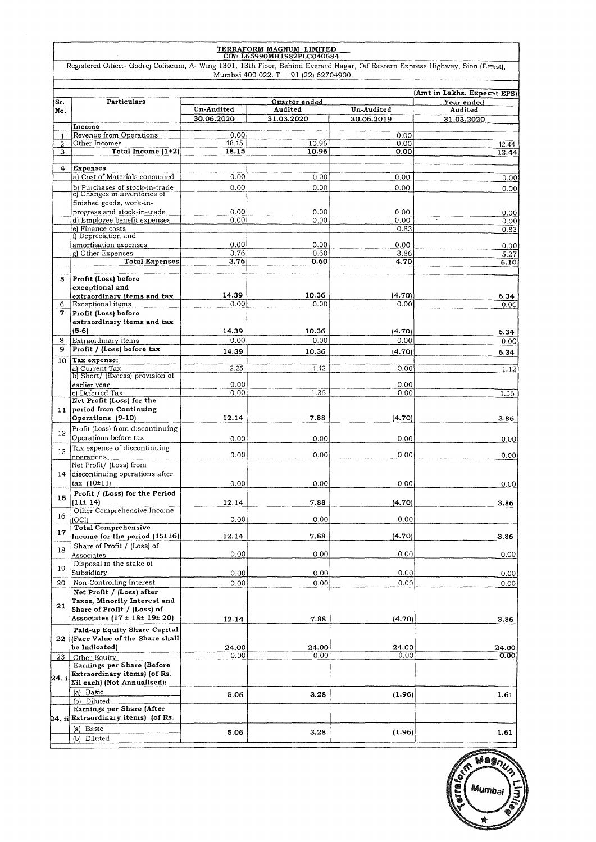| TERRAFORM MAGNUM LIMITED<br>CIN: L65990MH1982PLC040684 |                                                                                                                                |              |                                        |                   |                            |  |
|--------------------------------------------------------|--------------------------------------------------------------------------------------------------------------------------------|--------------|----------------------------------------|-------------------|----------------------------|--|
|                                                        | Registered Office:- Godrej Coliseum, A- Wing 1301, 13th Floor, Behind Everard Nagar, Off Eastern Express Highway, Sion (East), |              | Mumbai 400 022. T: + 91 (22) 62704900. |                   |                            |  |
|                                                        |                                                                                                                                |              |                                        |                   | (Amt in Lakhs. Expect EPS) |  |
| Sr.                                                    | Particulars                                                                                                                    | Un-Audited   | Ouarter ended<br>Audited               | <b>Un-Audited</b> | Year ended                 |  |
| No.                                                    |                                                                                                                                | 30.06,2020   | 31.03.2020                             | 30.06.2019        | Audited                    |  |
|                                                        | Income                                                                                                                         |              |                                        |                   | 31.03.2020                 |  |
|                                                        | Revenue from Operations                                                                                                        | 0.00         |                                        | 0.00              |                            |  |
| $\overline{2}$                                         | Other Incomes                                                                                                                  | 18.15        | 10.96                                  | 0.00              | 12.44                      |  |
| з                                                      | Total Income (1+2)                                                                                                             | 18.15        | 10.96                                  | 0.00              | 12.44                      |  |
| 4                                                      | Expenses                                                                                                                       |              |                                        |                   |                            |  |
|                                                        | a) Cost of Materials consumed                                                                                                  | 0.00         | 0.00                                   | 0.00              | 0.00                       |  |
|                                                        |                                                                                                                                |              |                                        |                   |                            |  |
|                                                        | b) Purchases of stock-in-trade<br>c) Changes in inventories of                                                                 | 0.00         | 0.00                                   | 0.00              | 0.00                       |  |
|                                                        | finished goods, work-in-                                                                                                       |              |                                        |                   |                            |  |
|                                                        | progress and stock-in-trade                                                                                                    | 0.00         | 0.00                                   | 0.00              | 0.00                       |  |
|                                                        | d) Employee benefit expenses                                                                                                   | 0.00         | 0.00                                   | 0.00              | $\cdot$<br>0.00            |  |
|                                                        | e) Finance costs                                                                                                               |              |                                        | 0.83              | 0.83                       |  |
|                                                        | f) Depreciation and                                                                                                            |              |                                        |                   |                            |  |
|                                                        | amortisation expenses<br>g) Other Expenses                                                                                     | 0.00<br>3.76 | 0.00<br>0.60                           | 0.00<br>3.86      | 0.00<br>5.27               |  |
|                                                        | <b>Total Expenses</b>                                                                                                          | 3.76         | 0.60                                   | 4.70              | 6.10                       |  |
|                                                        |                                                                                                                                |              |                                        |                   |                            |  |
| 5                                                      | Profit (Loss) before                                                                                                           |              |                                        |                   |                            |  |
|                                                        | exceptional and                                                                                                                |              |                                        |                   |                            |  |
|                                                        | extraordinary items and tax                                                                                                    | 14.39        | 10.36                                  | (4.70)            | 6.34                       |  |
| 6                                                      | Exceptional items                                                                                                              | 0.00         | 0.00                                   | 0.00              | 0.00                       |  |
| 7                                                      | Profit (Loss) before                                                                                                           |              |                                        |                   |                            |  |
|                                                        | extraordinary items and tax                                                                                                    |              |                                        |                   |                            |  |
|                                                        | $(5-6)$                                                                                                                        | 14.39        | 10.36                                  | (4.70)            | 6.34                       |  |
| 8                                                      | Extraordinary items                                                                                                            | 0.00         | 0.00                                   | 0.00              | 0.00                       |  |
| 9                                                      | Profit / (Loss) before tax                                                                                                     | 14.39        | 10.36                                  | (4.70)            | 6.34                       |  |
|                                                        | 10 Tax expense:                                                                                                                |              |                                        |                   |                            |  |
|                                                        | al Current Tax<br>b) Short/ (Excess) provision of                                                                              | 2.25         | 1.12                                   | 0.00              | 1.12                       |  |
|                                                        | earlier year                                                                                                                   | 0.00         |                                        | 0.00              |                            |  |
|                                                        | c) Deferred Tax                                                                                                                | 0.00         | 1.36                                   | 0.00              | 1.36                       |  |
|                                                        | Net Profit (Loss) for the                                                                                                      |              |                                        |                   |                            |  |
|                                                        | 11 period from Continuing                                                                                                      |              |                                        |                   |                            |  |
|                                                        | Operations (9-10)                                                                                                              | 12.14        | 7.88                                   | (4.70)            | 3.86                       |  |
| $12^{\circ}$                                           | Profit (Loss) from discontinuing                                                                                               |              |                                        |                   |                            |  |
|                                                        | Operations before tax                                                                                                          | 0.00         | 0.00                                   | 0.00              | 0.00                       |  |
| 13                                                     | Tax expense of discontinuing                                                                                                   |              |                                        |                   |                            |  |
|                                                        | operations                                                                                                                     | 0.00         | 0.00                                   | 0.00              | 0.00                       |  |
|                                                        | Net Profit/ (Loss) from                                                                                                        |              |                                        |                   |                            |  |
|                                                        | 14 discontinuing operations after                                                                                              |              |                                        |                   |                            |  |
|                                                        | $\max$ (10 $\pm$ 11)                                                                                                           | 0.00         | 0.00                                   | 0.00              | 0.00                       |  |
| 15                                                     | Profit / (Loss) for the Period                                                                                                 |              |                                        |                   |                            |  |
|                                                        | (11±14)<br>Other Comprehensive Income                                                                                          | 12.14        | 7.88                                   | (4.70)            | 3.86                       |  |
| 16                                                     | (OCI)                                                                                                                          | 0.00         | 0.00                                   | 0.00              |                            |  |
|                                                        | <b>Total Comprehensive</b>                                                                                                     |              |                                        |                   |                            |  |
| 17                                                     | Income for the period (15±16)                                                                                                  | 12.14        | 7.88                                   | (4.70)            | 3.86                       |  |
|                                                        | Share of Profit / (Loss) of                                                                                                    |              |                                        |                   |                            |  |
| 18                                                     | Associates                                                                                                                     | 0.00         | 0.00                                   | 0.00              | 0.00                       |  |
| 19                                                     | Disposal in the stake of                                                                                                       |              |                                        |                   |                            |  |
|                                                        | Subsidiary.                                                                                                                    | 0.00         | 0.00                                   | 0.00              | 0.00                       |  |
| 20                                                     | Non-Controlling Interest                                                                                                       | 0.00         | 0.00                                   | 0.00              | 0.00                       |  |
|                                                        | Net Profit / (Loss) after                                                                                                      |              |                                        |                   |                            |  |
| 21                                                     | Taxes, Minority Interest and                                                                                                   |              |                                        |                   |                            |  |
|                                                        | Share of Profit / (Loss) of                                                                                                    |              |                                        |                   |                            |  |
|                                                        | Associates $(17 \pm 18 \pm 19 \pm 20)$                                                                                         | 12.14        | 7.88                                   | (4.70)            | 3.86                       |  |
|                                                        | Paid-up Equity Share Capital                                                                                                   |              |                                        |                   |                            |  |
|                                                        | 22   Face Value of the Share shall                                                                                             |              |                                        |                   |                            |  |
|                                                        | be Indicated)                                                                                                                  | 24.00        | 24.00                                  | 24.00<br>0.00     | 24.00                      |  |
| 23                                                     | Other Equity<br>Earnings per Share (Before                                                                                     | 0.00         | 0.00                                   |                   | 0.00                       |  |
|                                                        | Extraordinary items) (of Rs.                                                                                                   |              |                                        |                   |                            |  |
| 24. i                                                  | Nil each) (Not Annualised):                                                                                                    |              |                                        |                   |                            |  |
|                                                        | (a) Basic                                                                                                                      |              |                                        |                   |                            |  |
|                                                        | (b) Diluted                                                                                                                    | 5.06         | 3.28                                   | (1.96)            | 1.61                       |  |
|                                                        | Earnings per Share (After                                                                                                      |              |                                        |                   |                            |  |
|                                                        | 24. ii Extraordinary items) (of Rs.                                                                                            |              |                                        |                   |                            |  |
|                                                        | (a) Basic                                                                                                                      |              |                                        |                   |                            |  |
|                                                        | (b) Diluted                                                                                                                    | 5.06         | 3.28                                   | (1.96)            | 1.61                       |  |

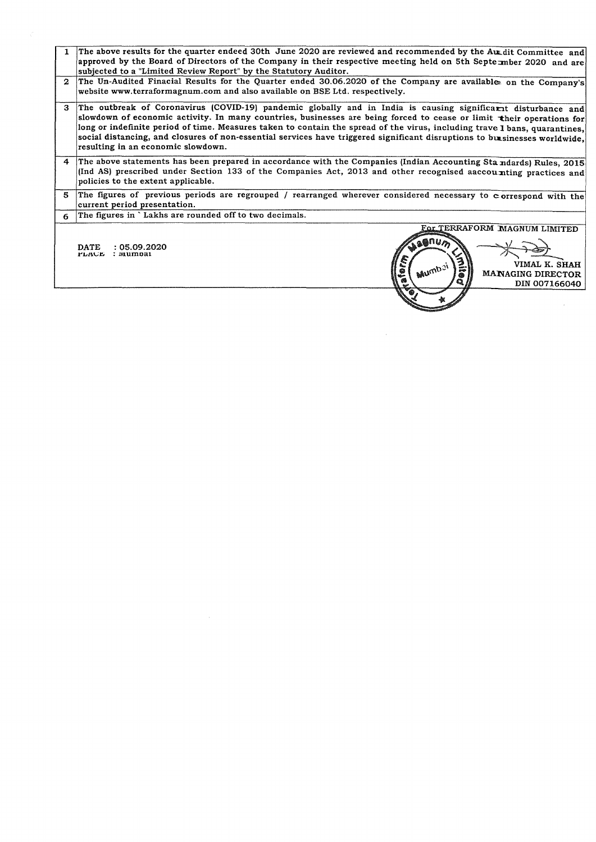| 1            | The above results for the quarter endeed 30th June 2020 are reviewed and recommended by the Au dit Committee and<br>approved by the Board of Directors of the Company in their respective meeting held on 5th September 2020 and are                                                                                                                                                                                                                                                                                                   |  |  |  |  |
|--------------|----------------------------------------------------------------------------------------------------------------------------------------------------------------------------------------------------------------------------------------------------------------------------------------------------------------------------------------------------------------------------------------------------------------------------------------------------------------------------------------------------------------------------------------|--|--|--|--|
|              | subjected to a "Limited Review Report" by the Statutory Auditor.                                                                                                                                                                                                                                                                                                                                                                                                                                                                       |  |  |  |  |
| $\mathbf{2}$ | The Un-Audited Finacial Results for the Quarter ended 30.06.2020 of the Company are available on the Company's<br>website www.terraformagnum.com and also available on BSE Ltd. respectively.                                                                                                                                                                                                                                                                                                                                          |  |  |  |  |
| 3            | The outbreak of Coronavirus (COVID-19) pandemic globally and in India is causing significarit disturbance and<br>slowdown of economic activity. In many countries, businesses are being forced to cease or limit their operations for<br>long or indefinite period of time. Measures taken to contain the spread of the virus, including trave 1 bans, quarantines,<br>social distancing, and closures of non-essential services have triggered significant disruptions to businesses worldwide,<br>resulting in an economic slowdown. |  |  |  |  |
| 4            | The above statements has been prepared in accordance with the Companies (Indian Accounting Standards) Rules, 2015<br>(Ind AS) prescribed under Section 133 of the Companies Act, 2013 and other recognised aaccounting practices and<br>policies to the extent applicable.                                                                                                                                                                                                                                                             |  |  |  |  |
| 5            | The figures of previous periods are regrouped / rearranged wherever considered necessary to correspond with the<br>current period presentation.                                                                                                                                                                                                                                                                                                                                                                                        |  |  |  |  |
| 6            | The figures in `Lakhs are rounded off to two decimals.                                                                                                                                                                                                                                                                                                                                                                                                                                                                                 |  |  |  |  |
|              | For TERRAFORM MAGNUM LIMITED<br><b>Cognum</b><br><b>DATE</b><br>: 05.09.2020<br>: wumpai<br><b>PLACE</b><br>S<br>VIMAL K. SHAH<br>Mumbai<br>٩<br><b>MANAGING DIRECTOR</b><br>DIN 007166040                                                                                                                                                                                                                                                                                                                                             |  |  |  |  |

 $\sqrt{2}$ 

 $\frac{1}{2}$